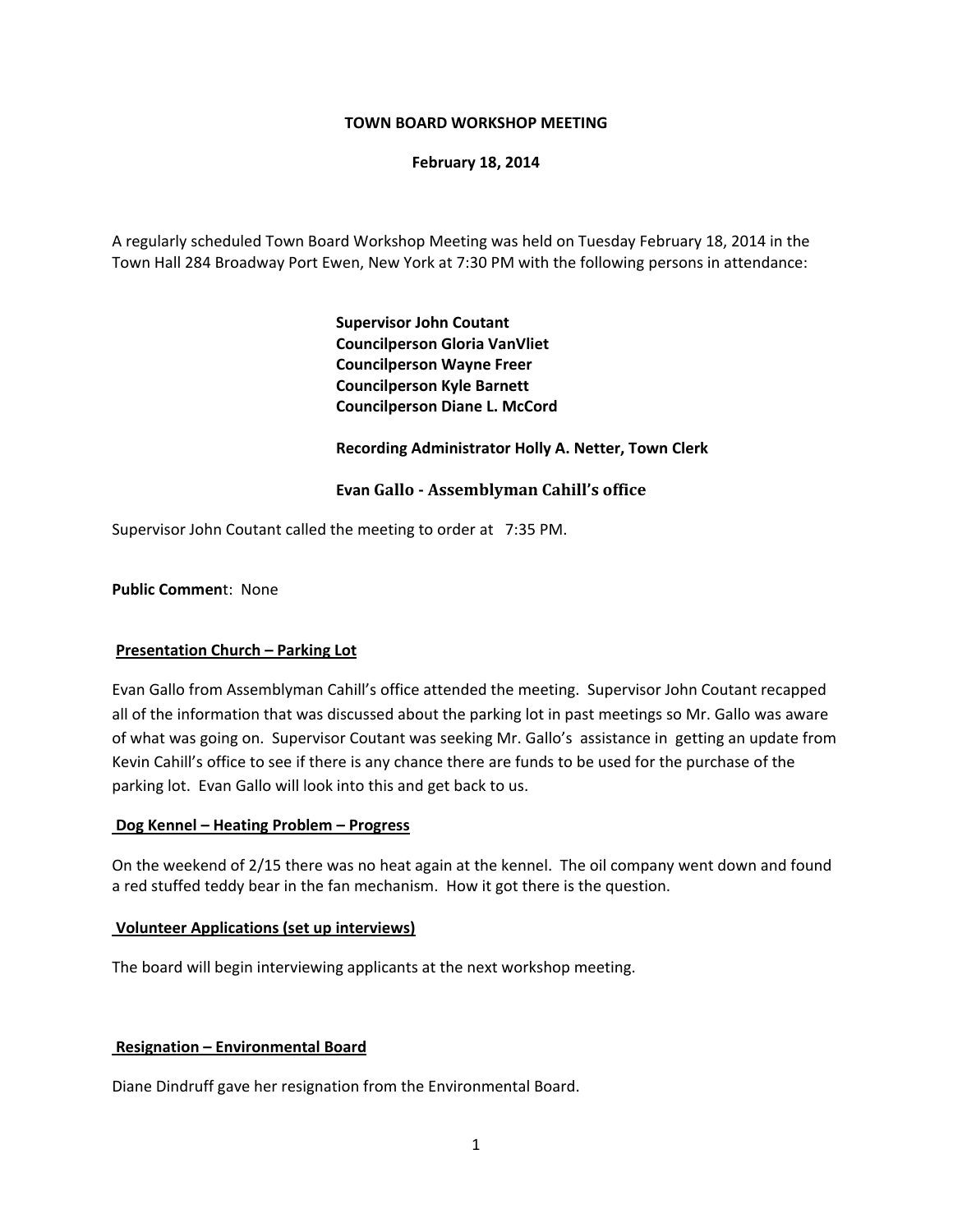## **TOWN BOARD WORKSHOP MEETING**

## **February 18, 2014**

A regularly scheduled Town Board Workshop Meeting was held on Tuesday February 18, 2014 in the Town Hall 284 Broadway Port Ewen, New York at 7:30 PM with the following persons in attendance:

> **Supervisor John Coutant Councilperson Gloria VanVliet Councilperson Wayne Freer Councilperson Kyle Barnett Councilperson Diane L. McCord**

## **Recording Administrator Holly A. Netter, Town Clerk**

## **Evan Gallo Assemblyman Cahill's office**

Supervisor John Coutant called the meeting to order at 7:35 PM.

### **Public Commen**t: None

#### **Presentation Church – Parking Lot**

Evan Gallo from Assemblyman Cahill's office attended the meeting. Supervisor John Coutant recapped all of the information that was discussed about the parking lot in past meetings so Mr. Gallo was aware of what was going on. Supervisor Coutant was seeking Mr. Gallo's assistance in getting an update from Kevin Cahill's office to see if there is any chance there are funds to be used for the purchase of the parking lot. Evan Gallo will look into this and get back to us.

#### **Dog Kennel – Heating Problem – Progress**

On the weekend of 2/15 there was no heat again at the kennel. The oil company went down and found a red stuffed teddy bear in the fan mechanism. How it got there is the question.

#### **Volunteer Applications (set up interviews)**

The board will begin interviewing applicants at the next workshop meeting.

#### **Resignation – Environmental Board**

Diane Dindruff gave her resignation from the Environmental Board.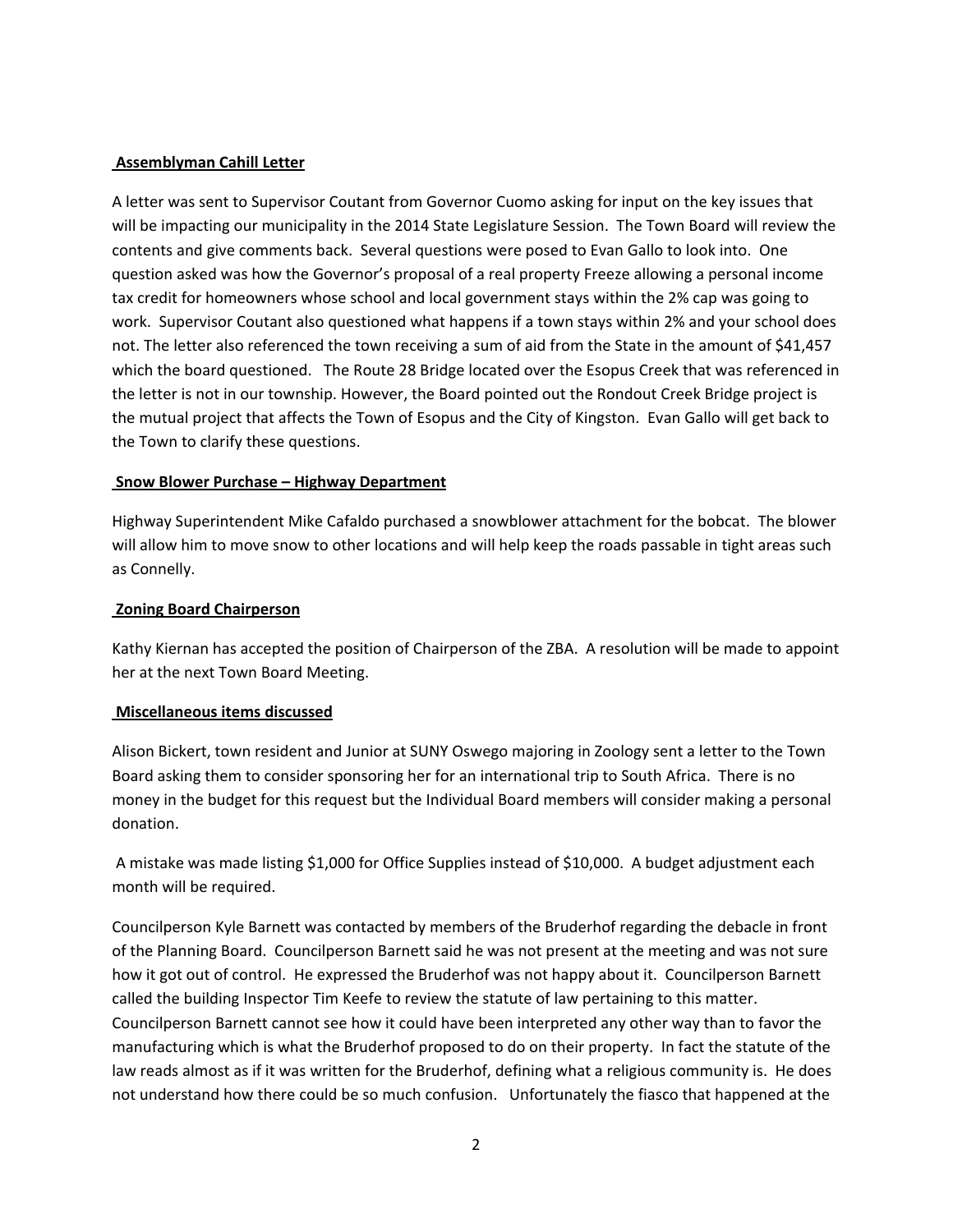# **Assemblyman Cahill Letter**

A letter was sent to Supervisor Coutant from Governor Cuomo asking for input on the key issues that will be impacting our municipality in the 2014 State Legislature Session. The Town Board will review the contents and give comments back. Several questions were posed to Evan Gallo to look into. One question asked was how the Governor's proposal of a real property Freeze allowing a personal income tax credit for homeowners whose school and local government stays within the 2% cap was going to work. Supervisor Coutant also questioned what happens if a town stays within 2% and your school does not. The letter also referenced the town receiving a sum of aid from the State in the amount of \$41,457 which the board questioned. The Route 28 Bridge located over the Esopus Creek that was referenced in the letter is not in our township. However, the Board pointed out the Rondout Creek Bridge project is the mutual project that affects the Town of Esopus and the City of Kingston. Evan Gallo will get back to the Town to clarify these questions.

## **Snow Blower Purchase – Highway Department**

Highway Superintendent Mike Cafaldo purchased a snowblower attachment for the bobcat. The blower will allow him to move snow to other locations and will help keep the roads passable in tight areas such as Connelly.

## **Zoning Board Chairperson**

Kathy Kiernan has accepted the position of Chairperson of the ZBA. A resolution will be made to appoint her at the next Town Board Meeting.

## **Miscellaneous items discussed**

Alison Bickert, town resident and Junior at SUNY Oswego majoring in Zoology sent a letter to the Town Board asking them to consider sponsoring her for an international trip to South Africa. There is no money in the budget for this request but the Individual Board members will consider making a personal donation.

A mistake was made listing \$1,000 for Office Supplies instead of \$10,000. A budget adjustment each month will be required.

Councilperson Kyle Barnett was contacted by members of the Bruderhof regarding the debacle in front of the Planning Board. Councilperson Barnett said he was not present at the meeting and was not sure how it got out of control. He expressed the Bruderhof was not happy about it. Councilperson Barnett called the building Inspector Tim Keefe to review the statute of law pertaining to this matter. Councilperson Barnett cannot see how it could have been interpreted any other way than to favor the manufacturing which is what the Bruderhof proposed to do on their property. In fact the statute of the law reads almost as if it was written for the Bruderhof, defining what a religious community is. He does not understand how there could be so much confusion. Unfortunately the fiasco that happened at the